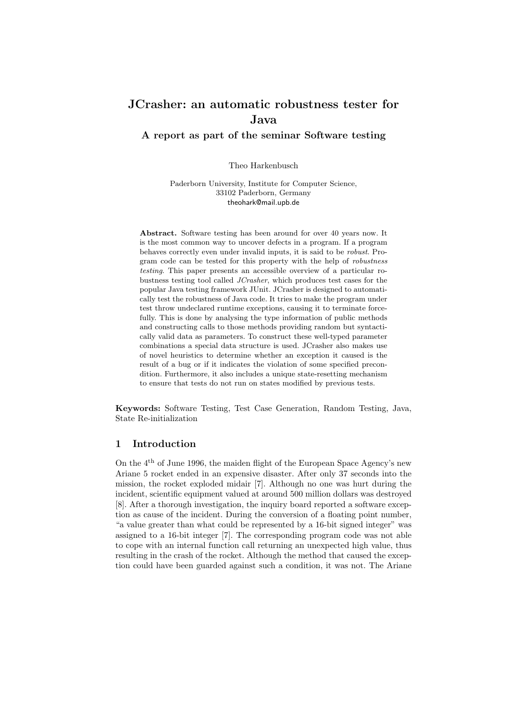# JCrasher: an automatic robustness tester for Java

A report as part of the seminar Software testing

Theo Harkenbusch

Paderborn University, Institute for Computer Science, 33102 Paderborn, Germany theohark@mail.upb.de

Abstract. Software testing has been around for over 40 years now. It is the most common way to uncover defects in a program. If a program behaves correctly even under invalid inputs, it is said to be robust. Program code can be tested for this property with the help of robustness testing. This paper presents an accessible overview of a particular robustness testing tool called JCrasher, which produces test cases for the popular Java testing framework JUnit. JCrasher is designed to automatically test the robustness of Java code. It tries to make the program under test throw undeclared runtime exceptions, causing it to terminate forcefully. This is done by analysing the type information of public methods and constructing calls to those methods providing random but syntactically valid data as parameters. To construct these well-typed parameter combinations a special data structure is used. JCrasher also makes use of novel heuristics to determine whether an exception it caused is the result of a bug or if it indicates the violation of some specified precondition. Furthermore, it also includes a unique state-resetting mechanism to ensure that tests do not run on states modified by previous tests.

Keywords: Software Testing, Test Case Generation, Random Testing, Java, State Re-initialization

# 1 Introduction

On the 4th of June 1996, the maiden flight of the European Space Agency's new Ariane 5 rocket ended in an expensive disaster. After only 37 seconds into the mission, the rocket exploded midair [7]. Although no one was hurt during the incident, scientific equipment valued at around 500 million dollars was destroyed [8]. After a thorough investigation, the inquiry board reported a software exception as cause of the incident. During the conversion of a floating point number, "a value greater than what could be represented by a 16-bit signed integer" was assigned to a 16-bit integer [7]. The corresponding program code was not able to cope with an internal function call returning an unexpected high value, thus resulting in the crash of the rocket. Although the method that caused the exception could have been guarded against such a condition, it was not. The Ariane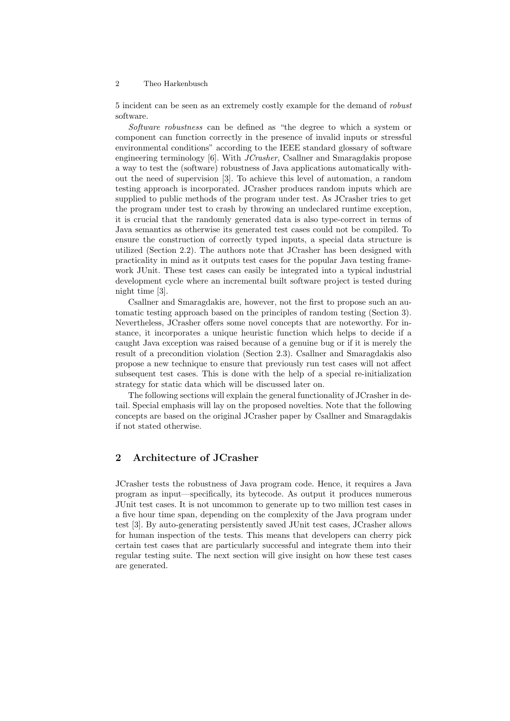5 incident can be seen as an extremely costly example for the demand of robust software.

Software robustness can be defined as "the degree to which a system or component can function correctly in the presence of invalid inputs or stressful environmental conditions" according to the IEEE standard glossary of software engineering terminology [6]. With JCrasher, Csallner and Smaragdakis propose a way to test the (software) robustness of Java applications automatically without the need of supervision [3]. To achieve this level of automation, a random testing approach is incorporated. JCrasher produces random inputs which are supplied to public methods of the program under test. As JCrasher tries to get the program under test to crash by throwing an undeclared runtime exception, it is crucial that the randomly generated data is also type-correct in terms of Java semantics as otherwise its generated test cases could not be compiled. To ensure the construction of correctly typed inputs, a special data structure is utilized (Section 2.2). The authors note that JCrasher has been designed with practicality in mind as it outputs test cases for the popular Java testing framework JUnit. These test cases can easily be integrated into a typical industrial development cycle where an incremental built software project is tested during night time [3].

Csallner and Smaragdakis are, however, not the first to propose such an automatic testing approach based on the principles of random testing (Section 3). Nevertheless, JCrasher offers some novel concepts that are noteworthy. For instance, it incorporates a unique heuristic function which helps to decide if a caught Java exception was raised because of a genuine bug or if it is merely the result of a precondition violation (Section 2.3). Csallner and Smaragdakis also propose a new technique to ensure that previously run test cases will not affect subsequent test cases. This is done with the help of a special re-initialization strategy for static data which will be discussed later on.

The following sections will explain the general functionality of JCrasher in detail. Special emphasis will lay on the proposed novelties. Note that the following concepts are based on the original JCrasher paper by Csallner and Smaragdakis if not stated otherwise.

## 2 Architecture of JCrasher

JCrasher tests the robustness of Java program code. Hence, it requires a Java program as input—specifically, its bytecode. As output it produces numerous JUnit test cases. It is not uncommon to generate up to two million test cases in a five hour time span, depending on the complexity of the Java program under test [3]. By auto-generating persistently saved JUnit test cases, JCrasher allows for human inspection of the tests. This means that developers can cherry pick certain test cases that are particularly successful and integrate them into their regular testing suite. The next section will give insight on how these test cases are generated.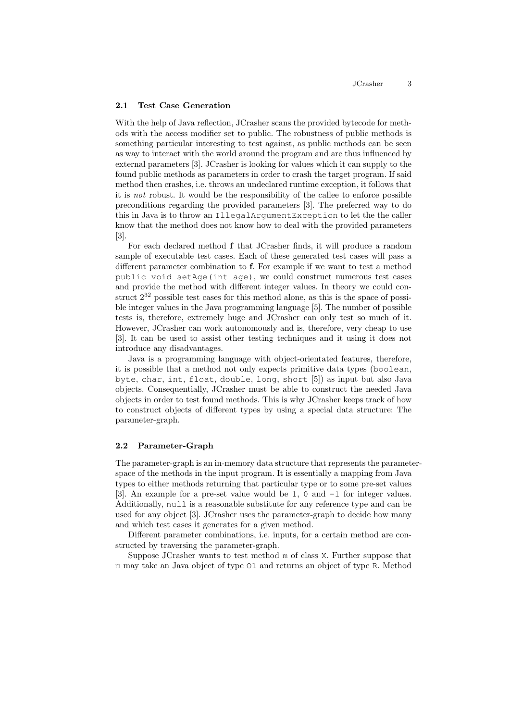#### 2.1 Test Case Generation

With the help of Java reflection, JCrasher scans the provided bytecode for methods with the access modifier set to public. The robustness of public methods is something particular interesting to test against, as public methods can be seen as way to interact with the world around the program and are thus influenced by external parameters [3]. JCrasher is looking for values which it can supply to the found public methods as parameters in order to crash the target program. If said method then crashes, i.e. throws an undeclared runtime exception, it follows that it is not robust. It would be the responsibility of the callee to enforce possible preconditions regarding the provided parameters [3]. The preferred way to do this in Java is to throw an IllegalArgumentException to let the the caller know that the method does not know how to deal with the provided parameters [3].

For each declared method f that JCrasher finds, it will produce a random sample of executable test cases. Each of these generated test cases will pass a different parameter combination to f. For example if we want to test a method public void setAge(int age), we could construct numerous test cases and provide the method with different integer values. In theory we could construct  $2^{32}$  possible test cases for this method alone, as this is the space of possible integer values in the Java programming language [5]. The number of possible tests is, therefore, extremely huge and JCrasher can only test so much of it. However, JCrasher can work autonomously and is, therefore, very cheap to use [3]. It can be used to assist other testing techniques and it using it does not introduce any disadvantages.

Java is a programming language with object-orientated features, therefore, it is possible that a method not only expects primitive data types (boolean, byte, char, int, float, double, long, short [5]) as input but also Java objects. Consequentially, JCrasher must be able to construct the needed Java objects in order to test found methods. This is why JCrasher keeps track of how to construct objects of different types by using a special data structure: The parameter-graph.

#### 2.2 Parameter-Graph

The parameter-graph is an in-memory data structure that represents the parameterspace of the methods in the input program. It is essentially a mapping from Java types to either methods returning that particular type or to some pre-set values [3]. An example for a pre-set value would be 1, 0 and -1 for integer values. Additionally, null is a reasonable substitute for any reference type and can be used for any object [3]. JCrasher uses the parameter-graph to decide how many and which test cases it generates for a given method.

Different parameter combinations, i.e. inputs, for a certain method are constructed by traversing the parameter-graph.

Suppose JCrasher wants to test method m of class X. Further suppose that m may take an Java object of type O1 and returns an object of type R. Method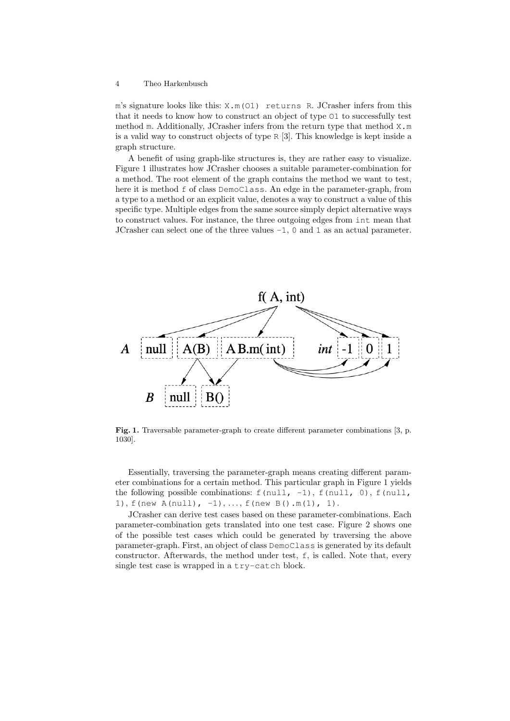m's signature looks like this: X.m(O1) returns R. JCrasher infers from this that it needs to know how to construct an object of type O1 to successfully test method m. Additionally, JCrasher infers from the return type that method X.m is a valid way to construct objects of type R [3]. This knowledge is kept inside a graph structure.

A benefit of using graph-like structures is, they are rather easy to visualize. Figure 1 illustrates how JCrasher chooses a suitable parameter-combination for a method. The root element of the graph contains the method we want to test, here it is method f of class DemoClass. An edge in the parameter-graph, from a type to a method or an explicit value, denotes a way to construct a value of this specific type. Multiple edges from the same source simply depict alternative ways to construct values. For instance, the three outgoing edges from int mean that JCrasher can select one of the three values -1, 0 and 1 as an actual parameter.



Fig. 1. Traversable parameter-graph to create different parameter combinations [3, p. 1030].

Essentially, traversing the parameter-graph means creating different parameter combinations for a certain method. This particular graph in Figure 1 yields the following possible combinations:  $f(\text{null}, -1)$ ,  $f(\text{null}, 0)$ ,  $f(\text{null},$ 1), f(new  $A(null)$ ,  $-1$ ), ..., f(new  $B() .m(1)$ , 1).

JCrasher can derive test cases based on these parameter-combinations. Each parameter-combination gets translated into one test case. Figure 2 shows one of the possible test cases which could be generated by traversing the above parameter-graph. First, an object of class DemoClass is generated by its default constructor. Afterwards, the method under test, f, is called. Note that, every single test case is wrapped in a try-catch block.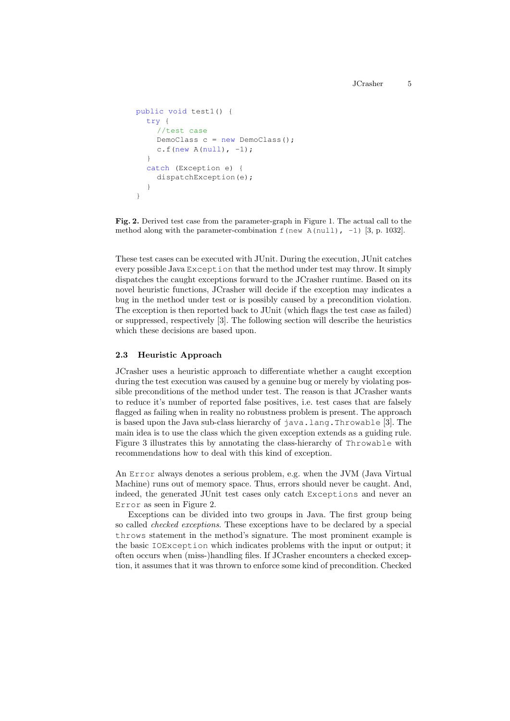```
public void test1() {
  try {
    //test case
    DemoClass c = new DemoClass();
    c.f(new A(null), -1);
  }
  catch (Exception e) {
    dispatchException(e);
  }
}
```
Fig. 2. Derived test case from the parameter-graph in Figure 1. The actual call to the method along with the parameter-combination  $f$  (new A(null),  $-1$ ) [3, p. 1032].

These test cases can be executed with JUnit. During the execution, JUnit catches every possible Java Exception that the method under test may throw. It simply dispatches the caught exceptions forward to the JCrasher runtime. Based on its novel heuristic functions, JCrasher will decide if the exception may indicates a bug in the method under test or is possibly caused by a precondition violation. The exception is then reported back to JUnit (which flags the test case as failed) or suppressed, respectively [3]. The following section will describe the heuristics which these decisions are based upon.

### 2.3 Heuristic Approach

JCrasher uses a heuristic approach to differentiate whether a caught exception during the test execution was caused by a genuine bug or merely by violating possible preconditions of the method under test. The reason is that JCrasher wants to reduce it's number of reported false positives, i.e. test cases that are falsely flagged as failing when in reality no robustness problem is present. The approach is based upon the Java sub-class hierarchy of java.lang.Throwable [3]. The main idea is to use the class which the given exception extends as a guiding rule. Figure 3 illustrates this by annotating the class-hierarchy of Throwable with recommendations how to deal with this kind of exception.

An Error always denotes a serious problem, e.g. when the JVM (Java Virtual Machine) runs out of memory space. Thus, errors should never be caught. And, indeed, the generated JUnit test cases only catch Exceptions and never an Error as seen in Figure 2.

Exceptions can be divided into two groups in Java. The first group being so called checked exceptions. These exceptions have to be declared by a special throws statement in the method's signature. The most prominent example is the basic IOException which indicates problems with the input or output; it often occurs when (miss-)handling files. If JCrasher encounters a checked exception, it assumes that it was thrown to enforce some kind of precondition. Checked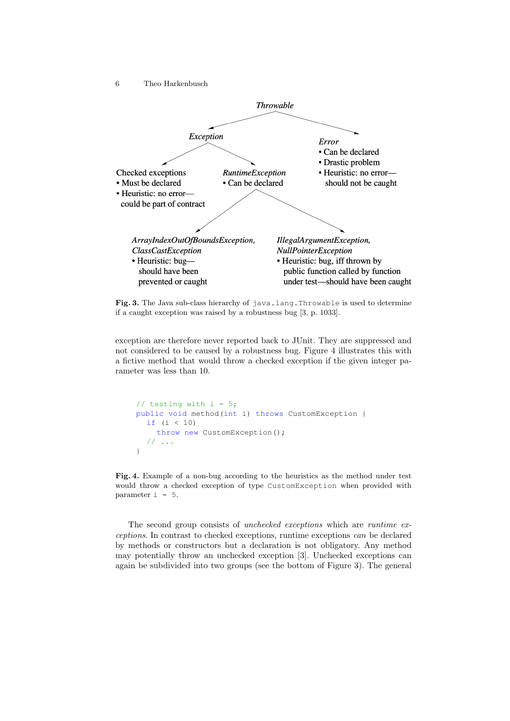6 Theo Harkenbusch



Fig. 3. The Java sub-class hierarchy of java.lang.Throwable is used to determine if a caught exception was raised by a robustness bug [3, p. 1033].

exception are therefore never reported back to JUnit. They are suppressed and not considered to be caused by a robustness bug. Figure 4 illustrates this with a fictive method that would throw a checked exception if the given integer parameter was less than 10.

```
// testing with i = 5;
public void method(int i) throws CustomException {
  if (i < 10)
    throw new CustomException();
  // ...
}
```
Fig. 4. Example of a non-bug according to the heuristics as the method under test would throw a checked exception of type CustomException when provided with parameter  $i = 5$ .

The second group consists of unchecked exceptions which are runtime exceptions. In contrast to checked exceptions, runtime exceptions can be declared by methods or constructors but a declaration is not obligatory. Any method may potentially throw an unchecked exception [3]. Unchecked exceptions can again be subdivided into two groups (see the bottom of Figure 3). The general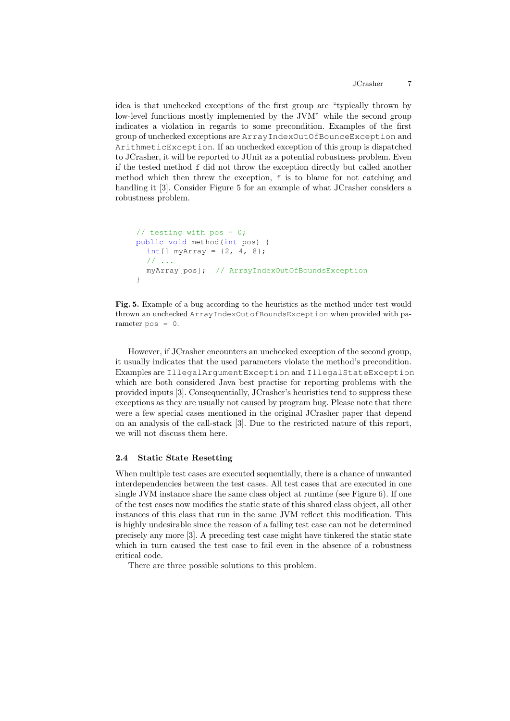idea is that unchecked exceptions of the first group are "typically thrown by low-level functions mostly implemented by the JVM" while the second group indicates a violation in regards to some precondition. Examples of the first group of unchecked exceptions are ArrayIndexOutOfBounceException and ArithmeticException. If an unchecked exception of this group is dispatched to JCrasher, it will be reported to JUnit as a potential robustness problem. Even if the tested method f did not throw the exception directly but called another method which then threw the exception, f is to blame for not catching and handling it [3]. Consider Figure 5 for an example of what JCrasher considers a robustness problem.

```
// testing with pos = 0;
public void method(int pos) {
  int [] myArray = \{2, 4, 8\};
  // ...
  myArray[pos]; // ArrayIndexOutOfBoundsException
}
```
Fig. 5. Example of a bug according to the heuristics as the method under test would thrown an unchecked ArrayIndexOutofBoundsException when provided with parameter pos = 0.

However, if JCrasher encounters an unchecked exception of the second group, it usually indicates that the used parameters violate the method's precondition. Examples are IllegalArgumentException and IllegalStateException which are both considered Java best practise for reporting problems with the provided inputs [3]. Consequentially, JCrasher's heuristics tend to suppress these exceptions as they are usually not caused by program bug. Please note that there were a few special cases mentioned in the original JCrasher paper that depend on an analysis of the call-stack [3]. Due to the restricted nature of this report, we will not discuss them here.

#### 2.4 Static State Resetting

When multiple test cases are executed sequentially, there is a chance of unwanted interdependencies between the test cases. All test cases that are executed in one single JVM instance share the same class object at runtime (see Figure 6). If one of the test cases now modifies the static state of this shared class object, all other instances of this class that run in the same JVM reflect this modification. This is highly undesirable since the reason of a failing test case can not be determined precisely any more [3]. A preceding test case might have tinkered the static state which in turn caused the test case to fail even in the absence of a robustness critical code.

There are three possible solutions to this problem.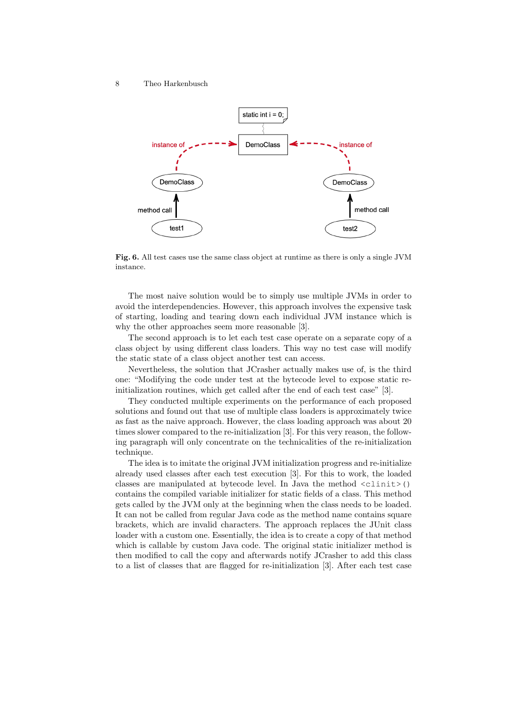

Fig. 6. All test cases use the same class object at runtime as there is only a single JVM instance.

The most naive solution would be to simply use multiple JVMs in order to avoid the interdependencies. However, this approach involves the expensive task of starting, loading and tearing down each individual JVM instance which is why the other approaches seem more reasonable [3].

The second approach is to let each test case operate on a separate copy of a class object by using different class loaders. This way no test case will modify the static state of a class object another test can access.

Nevertheless, the solution that JCrasher actually makes use of, is the third one: "Modifying the code under test at the bytecode level to expose static reinitialization routines, which get called after the end of each test case" [3].

They conducted multiple experiments on the performance of each proposed solutions and found out that use of multiple class loaders is approximately twice as fast as the naive approach. However, the class loading approach was about 20 times slower compared to the re-initialization [3]. For this very reason, the following paragraph will only concentrate on the technicalities of the re-initialization technique.

The idea is to imitate the original JVM initialization progress and re-initialize already used classes after each test execution [3]. For this to work, the loaded classes are manipulated at bytecode level. In Java the method <clinit>() contains the compiled variable initializer for static fields of a class. This method gets called by the JVM only at the beginning when the class needs to be loaded. It can not be called from regular Java code as the method name contains square brackets, which are invalid characters. The approach replaces the JUnit class loader with a custom one. Essentially, the idea is to create a copy of that method which is callable by custom Java code. The original static initializer method is then modified to call the copy and afterwards notify JCrasher to add this class to a list of classes that are flagged for re-initialization [3]. After each test case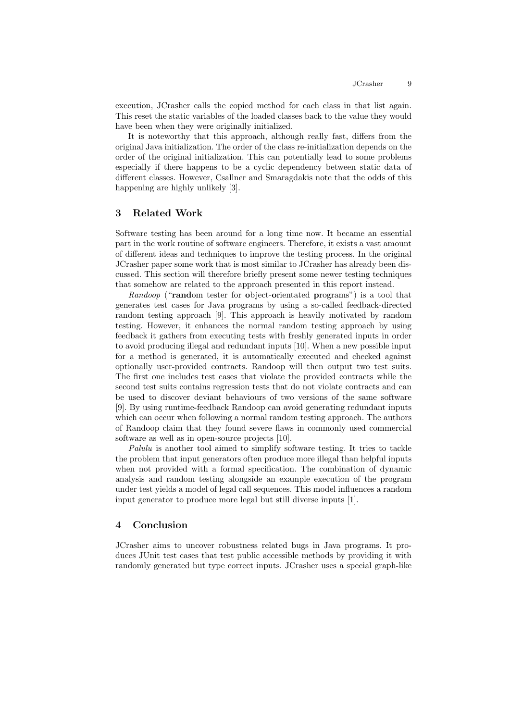execution, JCrasher calls the copied method for each class in that list again. This reset the static variables of the loaded classes back to the value they would have been when they were originally initialized.

It is noteworthy that this approach, although really fast, differs from the original Java initialization. The order of the class re-initialization depends on the order of the original initialization. This can potentially lead to some problems especially if there happens to be a cyclic dependency between static data of different classes. However, Csallner and Smaragdakis note that the odds of this happening are highly unlikely [3].

## 3 Related Work

Software testing has been around for a long time now. It became an essential part in the work routine of software engineers. Therefore, it exists a vast amount of different ideas and techniques to improve the testing process. In the original JCrasher paper some work that is most similar to JCrasher has already been discussed. This section will therefore briefly present some newer testing techniques that somehow are related to the approach presented in this report instead.

Randoop ("random tester for object-orientated programs") is a tool that generates test cases for Java programs by using a so-called feedback-directed random testing approach [9]. This approach is heavily motivated by random testing. However, it enhances the normal random testing approach by using feedback it gathers from executing tests with freshly generated inputs in order to avoid producing illegal and redundant inputs [10]. When a new possible input for a method is generated, it is automatically executed and checked against optionally user-provided contracts. Randoop will then output two test suits. The first one includes test cases that violate the provided contracts while the second test suits contains regression tests that do not violate contracts and can be used to discover deviant behaviours of two versions of the same software [9]. By using runtime-feedback Randoop can avoid generating redundant inputs which can occur when following a normal random testing approach. The authors of Randoop claim that they found severe flaws in commonly used commercial software as well as in open-source projects [10].

Palulu is another tool aimed to simplify software testing. It tries to tackle the problem that input generators often produce more illegal than helpful inputs when not provided with a formal specification. The combination of dynamic analysis and random testing alongside an example execution of the program under test yields a model of legal call sequences. This model influences a random input generator to produce more legal but still diverse inputs [1].

## 4 Conclusion

JCrasher aims to uncover robustness related bugs in Java programs. It produces JUnit test cases that test public accessible methods by providing it with randomly generated but type correct inputs. JCrasher uses a special graph-like